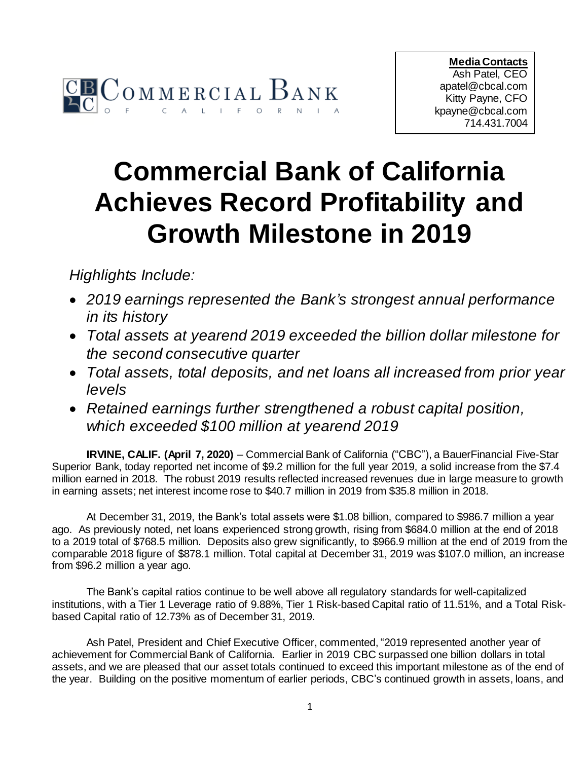

**Media Contacts** Ash Patel, CEO apatel@cbcal.com Kitty Payne, CFO kpayne@cbcal.com 714.431.7004

## **Commercial Bank of California Achieves Record Profitability and Growth Milestone in 2019**

*Highlights Include:*

- *2019 earnings represented the Bank's strongest annual performance in its history*
- *Total assets at yearend 2019 exceeded the billion dollar milestone for the second consecutive quarter*
- *Total assets, total deposits, and net loans all increased from prior year levels*
- *Retained earnings further strengthened a robust capital position, which exceeded \$100 million at yearend 2019*

**IRVINE, CALIF. (April 7, 2020)** – Commercial Bank of California ("CBC"), a BauerFinancial Five-Star Superior Bank, today reported net income of \$9.2 million for the full year 2019, a solid increase from the \$7.4 million earned in 2018. The robust 2019 results reflected increased revenues due in large measure to growth in earning assets; net interest income rose to \$40.7 million in 2019 from \$35.8 million in 2018.

At December 31, 2019, the Bank's total assets were \$1.08 billion, compared to \$986.7 million a year ago. As previously noted, net loans experienced strong growth, rising from \$684.0 million at the end of 2018 to a 2019 total of \$768.5 million. Deposits also grew significantly, to \$966.9 million at the end of 2019 from the comparable 2018 figure of \$878.1 million. Total capital at December 31, 2019 was \$107.0 million, an increase from \$96.2 million a year ago.

The Bank's capital ratios continue to be well above all regulatory standards for well-capitalized institutions, with a Tier 1 Leverage ratio of 9.88%, Tier 1 Risk-based Capital ratio of 11.51%, and a Total Riskbased Capital ratio of 12.73% as of December 31, 2019.

Ash Patel, President and Chief Executive Officer, commented, "2019 represented another year of achievement for Commercial Bank of California. Earlier in 2019 CBC surpassed one billion dollars in total assets, and we are pleased that our asset totals continued to exceed this important milestone as of the end of the year. Building on the positive momentum of earlier periods, CBC's continued growth in assets, loans, and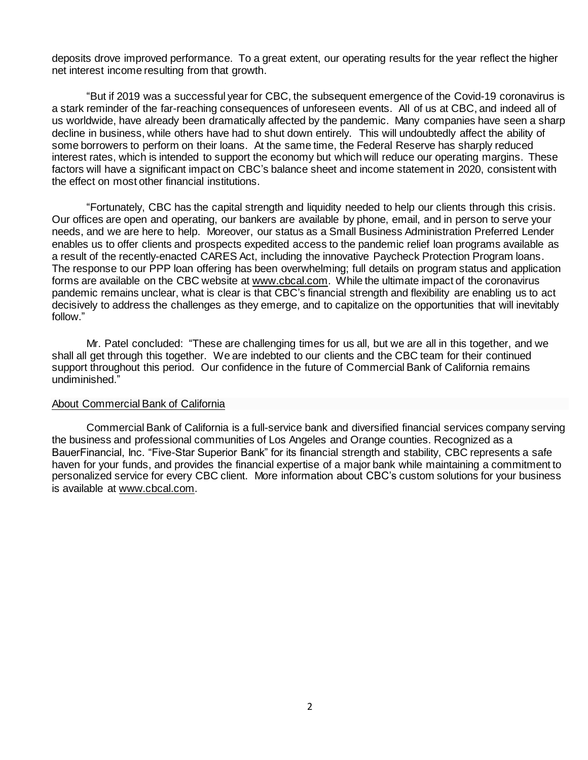deposits drove improved performance. To a great extent, our operating results for the year reflect the higher net interest income resulting from that growth.

"But if 2019 was a successful year for CBC, the subsequent emergence of the Covid-19 coronavirus is a stark reminder of the far-reaching consequences of unforeseen events. All of us at CBC, and indeed all of us worldwide, have already been dramatically affected by the pandemic. Many companies have seen a sharp decline in business, while others have had to shut down entirely. This will undoubtedly affect the ability of some borrowers to perform on their loans. At the same time, the Federal Reserve has sharply reduced interest rates, which is intended to support the economy but which will reduce our operating margins. These factors will have a significant impact on CBC's balance sheet and income statement in 2020, consistent with the effect on most other financial institutions.

"Fortunately, CBC has the capital strength and liquidity needed to help our clients through this crisis. Our offices are open and operating, our bankers are available by phone, email, and in person to serve your needs, and we are here to help. Moreover, our status as a Small Business Administration Preferred Lender enables us to offer clients and prospects expedited access to the pandemic relief loan programs available as a result of the recently-enacted CARES Act, including the innovative Paycheck Protection Program loans. The response to our PPP loan offering has been overwhelming; full details on program status and application forms are available on the CBC website at [www.cbcal.com](http://cts.businesswire.com/ct/CT?id=smartlink&url=http%3A%2F%2Fwww.cbcal.com&esheet=51201766&newsitemid=20151014006702&lan=en-US&anchor=www.cbcal.com&index=1&md5=b32b93ffe954942bacc76b19f0df35d3). While the ultimate impact of the coronavirus pandemic remains unclear, what is clear is that CBC's financial strength and flexibility are enabling us to act decisively to address the challenges as they emerge, and to capitalize on the opportunities that will inevitably follow."

Mr. Patel concluded: "These are challenging times for us all, but we are all in this together, and we shall all get through this together. We are indebted to our clients and the CBC team for their continued support throughout this period. Our confidence in the future of Commercial Bank of California remains undiminished."

## About Commercial Bank of California

Commercial Bank of California is a full-service bank and diversified financial services company serving the business and professional communities of Los Angeles and Orange counties. Recognized as a BauerFinancial, Inc. "Five-Star Superior Bank" for its financial strength and stability, CBC represents a safe haven for your funds, and provides the financial expertise of a major bank while maintaining a commitment to personalized service for every CBC client. More information about CBC's custom solutions for your business is available at [www.cbcal.com](http://cts.businesswire.com/ct/CT?id=smartlink&url=http%3A%2F%2Fwww.cbcal.com&esheet=51201766&newsitemid=20151014006702&lan=en-US&anchor=www.cbcal.com&index=1&md5=b32b93ffe954942bacc76b19f0df35d3).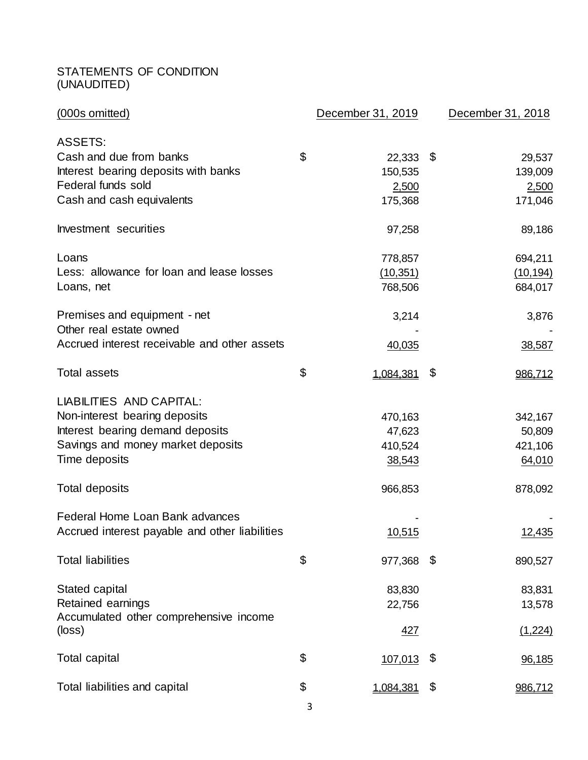## STATEMENTS OF CONDITION (UNAUDITED)

| (000s omitted)                                   | December 31, 2019 | December 31, 2018 |
|--------------------------------------------------|-------------------|-------------------|
| <b>ASSETS:</b>                                   |                   |                   |
| Cash and due from banks                          | \$<br>22,333      | \$<br>29,537      |
| Interest bearing deposits with banks             | 150,535           | 139,009           |
| Federal funds sold                               | 2,500             | 2,500             |
| Cash and cash equivalents                        | 175,368           | 171,046           |
| Investment securities                            | 97,258            | 89,186            |
| Loans                                            | 778,857           | 694,211           |
| Less: allowance for loan and lease losses        | (10, 351)         | (10, 194)         |
| Loans, net                                       | 768,506           | 684,017           |
| Premises and equipment - net                     | 3,214             | 3,876             |
| Other real estate owned                          |                   |                   |
| Accrued interest receivable and other assets     | 40,035            | 38,587            |
| <b>Total assets</b>                              | \$<br>1,084,381   | \$<br>986,712     |
| LIABILITIES AND CAPITAL:                         |                   |                   |
| Non-interest bearing deposits                    | 470,163           | 342,167           |
| Interest bearing demand deposits                 | 47,623            | 50,809            |
| Savings and money market deposits                | 410,524           | 421,106           |
| Time deposits                                    | 38,543            | 64,010            |
| <b>Total deposits</b>                            | 966,853           | 878,092           |
| Federal Home Loan Bank advances                  |                   |                   |
| Accrued interest payable and other liabilities   | 10,515            | 12,435            |
| <b>Total liabilities</b>                         | \$<br>977,368     | \$<br>890,527     |
| Stated capital                                   | 83,830            | 83,831            |
| Retained earnings                                | 22,756            | 13,578            |
| Accumulated other comprehensive income<br>(loss) | <u>427</u>        | (1,224)           |
| <b>Total capital</b>                             | \$<br>107,013     | \$<br>96,185      |
| Total liabilities and capital                    | \$<br>1,084,381   | \$<br>986,712     |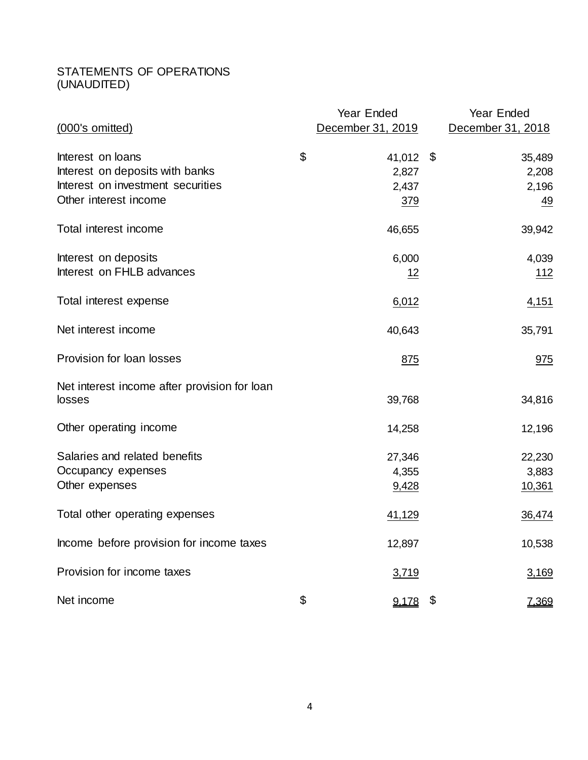## STATEMENTS OF OPERATIONS (UNAUDITED)

|                                                        | Year Ended        | Year Ended        |
|--------------------------------------------------------|-------------------|-------------------|
| (000's omitted)                                        | December 31, 2019 | December 31, 2018 |
|                                                        |                   |                   |
| Interest on loans                                      | \$<br>41,012 \$   | 35,489            |
| Interest on deposits with banks                        | 2,827             | 2,208             |
| Interest on investment securities                      | 2,437             | 2,196             |
| Other interest income                                  | 379               | $\frac{49}{1}$    |
| Total interest income                                  | 46,655            | 39,942            |
| Interest on deposits                                   | 6,000             | 4,039             |
| Interest on FHLB advances                              | <u> 12</u>        | <u> 112</u>       |
| Total interest expense                                 | 6,012             | 4,151             |
| Net interest income                                    | 40,643            | 35,791            |
| Provision for loan losses                              | 875               | 975               |
| Net interest income after provision for loan<br>losses | 39,768            | 34,816            |
|                                                        |                   |                   |
| Other operating income                                 | 14,258            | 12,196            |
| Salaries and related benefits                          | 27,346            | 22,230            |
| Occupancy expenses                                     | 4,355             | 3,883             |
| Other expenses                                         | 9,428             | 10,361            |
| Total other operating expenses                         | 41,129            | 36,474            |
| Income before provision for income taxes               | 12,897            | 10,538            |
| Provision for income taxes                             | 3,719             | 3,169             |
| Net income                                             | \$<br>$9,178$ \$  | <u>7,369</u>      |